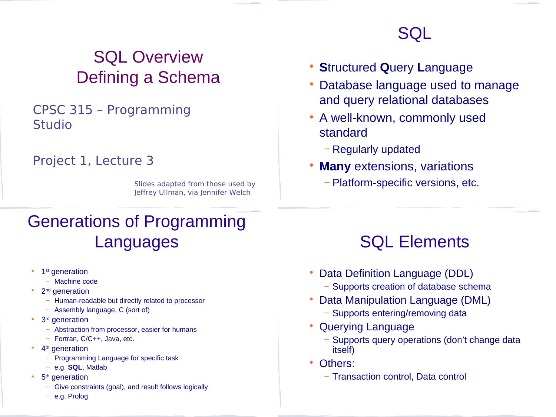# SQL Overview Defining a Schema

#### CPSC 315 – Programming Studio

#### Project 1, Lecture 3

Slides adapted from those used by Jeffrey Ullman, via Jennifer Welch

# Generations of Programming Languages

- 1<sup>st</sup> generation
	- − Machine code
- 2<sup>nd</sup> generation
	- − Human-readable but directly related to processor
	- − Assembly language, C (sort of)
- 3<sup>rd</sup> generation
	- − Abstraction from processor, easier for humans
	- − Fortran, C/C++, Java, etc.
- 4<sup>th</sup> generation
	- − Programming Language for specific task
	- − e.g. **SQL**, Matlab
- 5<sup>th</sup> generation
	- Give constraints (goal), and result follows logically
	- − e.g. Prolog

# SQL

- **S**tructured **Q**uery **L**anguage
- Database language used to manage and query relational databases
- A well-known, commonly used standard
	- − Regularly updated
- **Many** extensions, variations
	- − Platform-specific versions, etc.

# SQL Elements

- Data Definition Language (DDL)
	- − Supports creation of database schema
- Data Manipulation Language (DML)
	- − Supports entering/removing data
- Querying Language
	- Supports query operations (don't change data itself)
- Others:
	- − Transaction control, Data control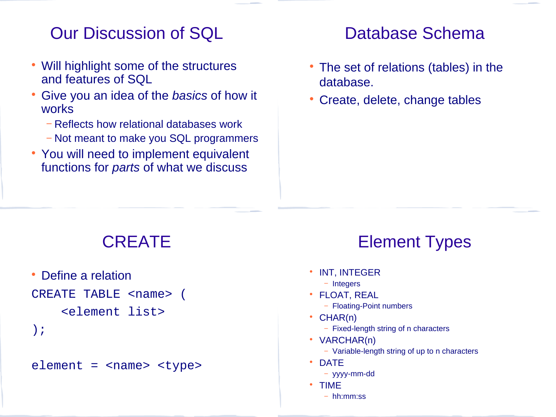## Our Discussion of SQL

- Will highlight some of the structures and features of SQL
- Give you an idea of the *basics* of how it works
	- − Reflects how relational databases work
	- − Not meant to make you SQL programmers
- You will need to implement equivalent functions for *parts* of what we discuss

### Database Schema

- The set of relations (tables) in the database.
- Create, delete, change tables

## CREATE

 Define a relation CREATE TABLE <name> ( <element list> );

#### $element = *name* < *type*$

## Element Types

- **INT, INTEGER** 
	- − Integers
- FLOAT, REAL
	- − Floating-Point numbers
- CHAR(n)
	- − Fixed-length string of n characters
- VARCHAR(n)
	- − Variable-length string of up to n characters
- **DATE** 
	- − yyyy-mm-dd
- TIME
	- − hh:mm:ss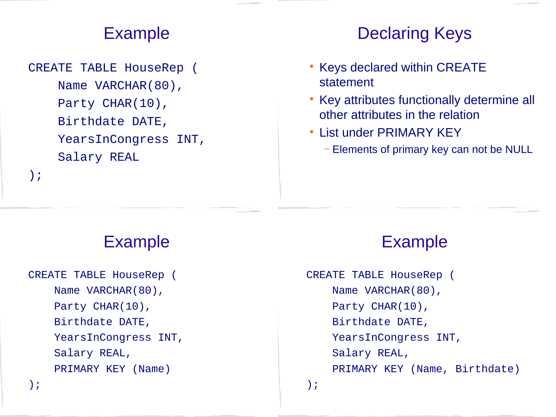## Example

CREATE TABLE HouseRep ( Name VARCHAR(80), Party CHAR(10), Birthdate DATE, YearsInCongress INT, Salary REAL

);

## Declaring Keys

- Keys declared within CREATE statement
- Key attributes functionally determine all other attributes in the relation
- List under PRIMARY KEY
	- − Elements of primary key can not be NULL

Example

```
CREATE TABLE HouseRep (
     Name VARCHAR(80),
    Party CHAR(10),
     Birthdate DATE,
     YearsInCongress INT,
     Salary REAL,
     PRIMARY KEY (Name)
);
```
### Example

CREATE TABLE HouseRep ( Name VARCHAR(80), Party CHAR(10), Birthdate DATE, YearsInCongress INT, Salary REAL, PRIMARY KEY (Name, Birthdate)